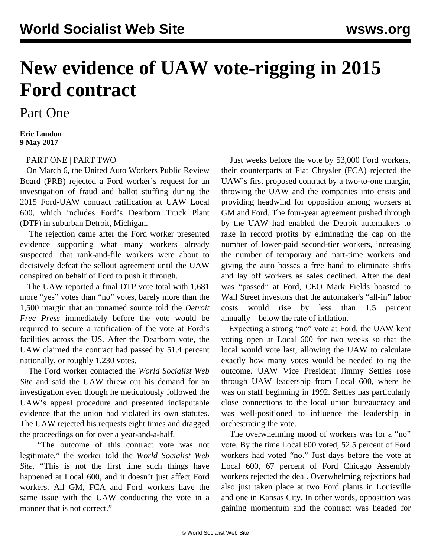## **New evidence of UAW vote-rigging in 2015 Ford contract**

Part One

## **Eric London 9 May 2017**

## [PART ONE](/en/articles/2017/05/09/uaw-m09.html) | [PART TWO](/en/articles/2017/05/11/uaw-m11.html)

 On March 6, the United Auto Workers Public Review Board (PRB) rejected a Ford worker's request for an investigation of fraud and ballot stuffing during the 2015 Ford-UAW contract ratification at UAW Local 600, which includes Ford's Dearborn Truck Plant (DTP) in suburban Detroit, Michigan.

 The rejection came after the Ford worker presented evidence supporting what many workers already suspected: that rank-and-file workers were about to decisively defeat the sellout agreement until the UAW conspired on behalf of Ford to push it through.

 The UAW reported a final DTP vote total with 1,681 more "yes" votes than "no" votes, barely more than the 1,500 margin that an unnamed source told the *Detroit Free Press* immediately before the vote would be required to secure a ratification of the vote at Ford's facilities across the US. After the Dearborn vote, the UAW claimed the contract had passed by 51.4 percent nationally, or roughly 1,230 votes.

 The Ford worker contacted the *World Socialist Web Site* and said the UAW threw out his demand for an investigation even though he meticulously followed the UAW's appeal procedure and presented indisputable evidence that the union had violated its own statutes. The UAW rejected his requests eight times and dragged the proceedings on for over a year-and-a-half.

 "The outcome of this contract vote was not legitimate," the worker told the *World Socialist Web Site*. "This is not the first time such things have happened at Local 600, and it doesn't just affect Ford workers. All GM, FCA and Ford workers have the same issue with the UAW conducting the vote in a manner that is not correct."

 Just weeks before the vote by 53,000 Ford workers, their counterparts at Fiat Chrysler (FCA) rejected the UAW's first proposed contract by a two-to-one margin, throwing the UAW and the companies into crisis and providing headwind for opposition among workers at GM and Ford. The four-year agreement pushed through by the UAW had enabled the Detroit automakers to rake in record profits by eliminating the cap on the number of lower-paid second-tier workers, increasing the number of temporary and part-time workers and giving the auto bosses a free hand to eliminate shifts and lay off workers as sales declined. After the deal was "passed" at Ford, CEO Mark Fields [boasted](/en/articles/2015/12/01/ford-d01.html) to Wall Street investors that the automaker's "all-in" labor costs would rise by less than 1.5 percent annually—below the rate of inflation.

 Expecting a strong "no" vote at Ford, the UAW kept voting open at Local 600 for two weeks so that the local would vote last, allowing the UAW to calculate exactly how many votes would be needed to rig the outcome. UAW Vice President Jimmy Settles rose through UAW leadership from Local 600, where he was on staff beginning in 1992. Settles has particularly close connections to the local union bureaucracy and was well-positioned to influence the leadership in orchestrating the vote.

 The overwhelming mood of workers was for a "no" vote. By the time Local 600 voted, 52.5 percent of Ford workers had voted "no." Just days before the vote at Local 600, 67 percent of Ford Chicago Assembly workers rejected the deal. Overwhelming rejections had also just taken place at two Ford plants in Louisville and one in Kansas City. In other words, opposition was gaining momentum and the contract was headed for